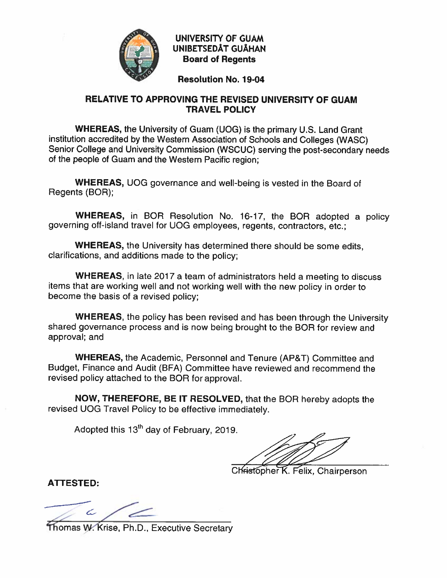

**UNIVERSITY OF GUAM UNIBETSEDÅT GUÅHAN Board of Regents** 

**Resolution No. 19-04** 

# RELATIVE TO APPROVING THE REVISED UNIVERSITY OF GUAM **TRAVEL POLICY**

**WHEREAS, the University of Guam (UOG) is the primary U.S. Land Grant** institution accredited by the Western Association of Schools and Colleges (WASC) Senior College and University Commission (WSCUC) serving the post-secondary needs of the people of Guam and the Western Pacific region:

**WHEREAS, UOG governance and well-being is vested in the Board of** Regents (BOR);

WHEREAS, in BOR Resolution No. 16-17, the BOR adopted a policy governing off-island travel for UOG employees, regents, contractors, etc.;

**WHEREAS, the University has determined there should be some edits.** clarifications, and additions made to the policy:

**WHEREAS**, in late 2017 a team of administrators held a meeting to discuss items that are working well and not working well with the new policy in order to become the basis of a revised policy;

**WHEREAS, the policy has been revised and has been through the University** shared governance process and is now being brought to the BOR for review and approval; and

WHEREAS, the Academic, Personnel and Tenure (AP&T) Committee and Budget, Finance and Audit (BFA) Committee have reviewed and recommend the revised policy attached to the BOR for approval.

NOW, THEREFORE, BE IT RESOLVED, that the BOR hereby adopts the revised UOG Travel Policy to be effective immediately.

Adopted this 13<sup>th</sup> day of February, 2019.

Christopher K. Felix, Chairperson

**ATTESTED:** 

Thomas W. Krise, Ph.D., Executive Secretary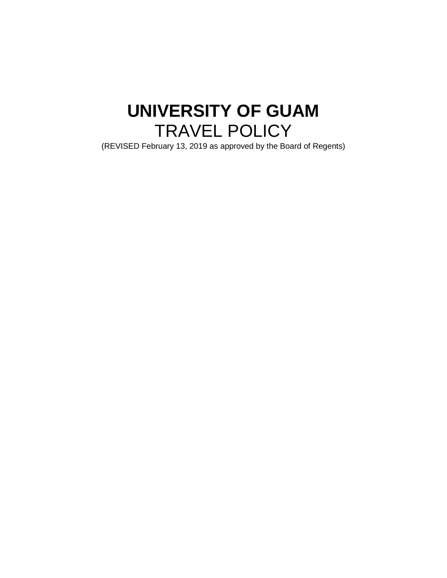# **UNIVERSITY OF GUAM** TRAVEL POLICY

(REVISED February 13, 2019 as approved by the Board of Regents)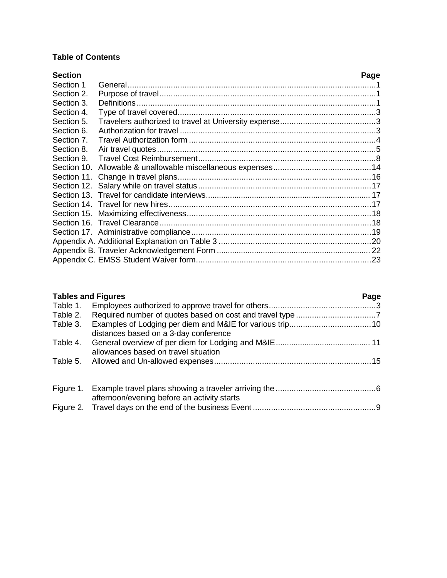# **Table of Contents**

| <b>Section</b> | Page |
|----------------|------|
| Section 1      |      |
| Section 2.     |      |
| Section 3.     |      |
| Section 4.     |      |
| Section 5.     |      |
| Section 6.     |      |
| Section 7.     |      |
| Section 8.     |      |
| Section 9.     |      |
| Section 10.    |      |
| Section 11.    |      |
|                |      |
|                |      |
|                |      |
|                |      |
|                |      |
|                |      |
|                |      |
|                |      |
|                |      |

| <b>Tables and Figures</b> | Page |  |
|---------------------------|------|--|
|                           |      |  |

| Table 2. |                                       |  |
|----------|---------------------------------------|--|
| Table 3. |                                       |  |
|          | distances based on a 3-day conference |  |
|          | allowances based on travel situation  |  |
|          |                                       |  |
|          |                                       |  |
|          |                                       |  |
|          |                                       |  |

| afternoon/evening before an activity starts |  |
|---------------------------------------------|--|
|                                             |  |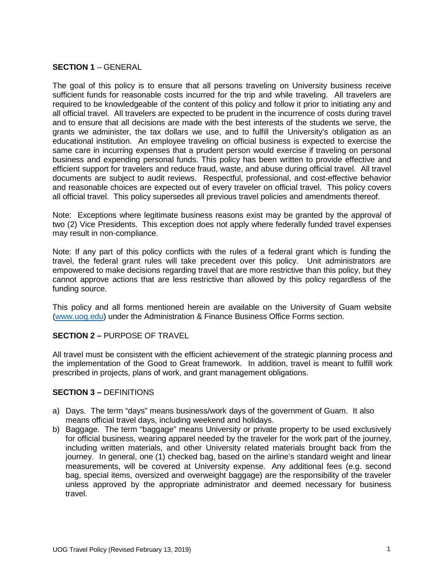## **SECTION 1** – GENERAL

The goal of this policy is to ensure that all persons traveling on University business receive sufficient funds for reasonable costs incurred for the trip and while traveling. All travelers are required to be knowledgeable of the content of this policy and follow it prior to initiating any and all official travel. All travelers are expected to be prudent in the incurrence of costs during travel and to ensure that all decisions are made with the best interests of the students we serve, the grants we administer, the tax dollars we use, and to fulfill the University's obligation as an educational institution. An employee traveling on official business is expected to exercise the same care in incurring expenses that a prudent person would exercise if traveling on personal business and expending personal funds. This policy has been written to provide effective and efficient support for travelers and reduce fraud, waste, and abuse during official travel. All travel documents are subject to audit reviews. Respectful, professional, and cost-effective behavior and reasonable choices are expected out of every traveler on official travel. This policy covers all official travel. This policy supersedes all previous travel policies and amendments thereof.

Note: Exceptions where legitimate business reasons exist may be granted by the approval of two (2) Vice Presidents. This exception does not apply where federally funded travel expenses may result in non-compliance.

Note: If any part of this policy conflicts with the rules of a federal grant which is funding the travel, the federal grant rules will take precedent over this policy. Unit administrators are empowered to make decisions regarding travel that are more restrictive than this policy, but they cannot approve actions that are less restrictive than allowed by this policy regardless of the funding source.

This policy and all forms mentioned herein are available on the University of Guam website [\(www.uog.edu\)](http://www.uog.edu/) under the Administration & Finance Business Office Forms section.

#### **SECTION 2 –** PURPOSE OF TRAVEL

All travel must be consistent with the efficient achievement of the strategic planning process and the implementation of the Good to Great framework. In addition, travel is meant to fulfill work prescribed in projects, plans of work, and grant management obligations.

#### **SECTION 3 –** DEFINITIONS

- a) Days. The term "days" means business/work days of the government of Guam. It also means official travel days, including weekend and holidays.
- b) Baggage. The term "baggage" means University or private property to be used exclusively for official business, wearing apparel needed by the traveler for the work part of the journey, including written materials, and other University related materials brought back from the journey. In general, one (1) checked bag, based on the airline's standard weight and linear measurements, will be covered at University expense. Any additional fees (e.g. second bag, special items, oversized and overweight baggage) are the responsibility of the traveler unless approved by the appropriate administrator and deemed necessary for business travel.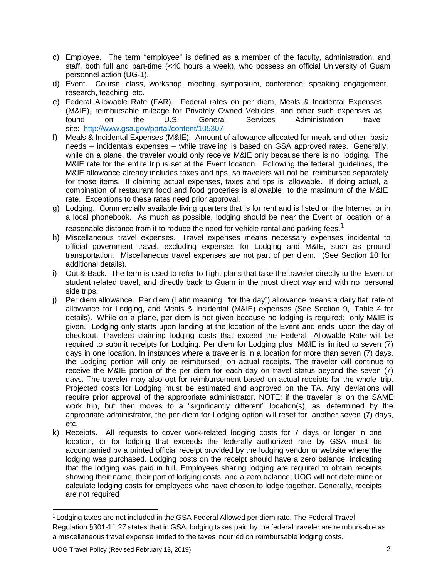- c) Employee. The term "employee" is defined as a member of the faculty, administration, and staff, both full and part-time (<40 hours a week), who possess an official University of Guam personnel action (UG-1).
- d) Event. Course, class, workshop, meeting, symposium, conference, speaking engagement, research, teaching, etc.
- e) Federal Allowable Rate (FAR). Federal rates on per diem, Meals & Incidental Expenses (M&IE), reimbursable mileage for Privately Owned Vehicles, and other such expenses as found on the U.S. General Services Administration travel site: <http://www.gsa.gov/portal/content/105307>
- f) Meals & Incidental Expenses (M&IE). Amount of allowance allocated for meals and other basic needs – incidentals expenses – while traveling is based on GSA approved rates. Generally, while on a plane, the traveler would only receive M&IE only because there is no lodging. The M&IE rate for the entire trip is set at the Event location. Following the federal guidelines, the M&IE allowance already includes taxes and tips, so travelers will not be reimbursed separately for those items. If claiming actual expenses, taxes and tips is allowable. If doing actual, a combination of restaurant food and food groceries is allowable to the maximum of the M&IE rate. Exceptions to these rates need prior approval.
- g) Lodging. Commercially available living quarters that is for rent and is listed on the Internet or in a local phonebook. As much as possible, lodging should be near the Event or location or a reasonable distance from it to reduce the need for vehicle rental and parking fees.<sup>1</sup>
- h) Miscellaneous travel expenses. Travel expenses means necessary expenses incidental to official government travel, excluding expenses for Lodging and M&IE, such as ground transportation. Miscellaneous travel expenses are not part of per diem. (See Section 10 for additional details).
- i) Out & Back. The term is used to refer to flight plans that take the traveler directly to the Event or student related travel, and directly back to Guam in the most direct way and with no personal side trips.
- j) Per diem allowance. Per diem (Latin meaning, "for the day") allowance means a daily flat rate of allowance for Lodging, and Meals & Incidental (M&IE) expenses (See Section 9, Table 4 for details). While on a plane, per diem is not given because no lodging is required; only M&IE is given. Lodging only starts upon landing at the location of the Event and ends upon the day of checkout. Travelers claiming lodging costs that exceed the Federal Allowable Rate will be required to submit receipts for Lodging. Per diem for Lodging plus M&IE is limited to seven (7) days in one location. In instances where a traveler is in a location for more than seven (7) days, the Lodging portion will only be reimbursed on actual receipts. The traveler will continue to receive the M&IE portion of the per diem for each day on travel status beyond the seven (7) days. The traveler may also opt for reimbursement based on actual receipts for the whole trip. Projected costs for Lodging must be estimated and approved on the TA. Any deviations will require prior approval of the appropriate administrator. NOTE: if the traveler is on the SAME work trip, but then moves to a "significantly different" location(s), as determined by the appropriate administrator, the per diem for Lodging option will reset for another seven (7) days, etc.
- k) Receipts. All requests to cover work-related lodging costs for 7 days or longer in one location, or for lodging that exceeds the federally authorized rate by GSA must be accompanied by a printed official receipt provided by the lodging vendor or website where the lodging was purchased. Lodging costs on the receipt should have a zero balance, indicating that the lodging was paid in full. Employees sharing lodging are required to obtain receipts showing their name, their part of lodging costs, and a zero balance; UOG will not determine or calculate lodging costs for employees who have chosen to lodge together. Generally, receipts are not required

<sup>&</sup>lt;sup>1</sup> Lodging taxes are not included in the GSA [Federal](http://www.gsa.gov/portal/ext/public/site/FTR/file/Chapter301p011.html/category/21868/#wp1095841) Allowed per diem rate. The Federal Travel Regulation [§301-11.27](http://www.gsa.gov/portal/ext/public/site/FTR/file/Chapter301p011.html/category/21868/#wp1095841) states that in GSA, lodging taxes paid by the federal traveler are reimbursable as a miscellaneous travel expense limited to the taxes incurred on reimbursable lodging costs.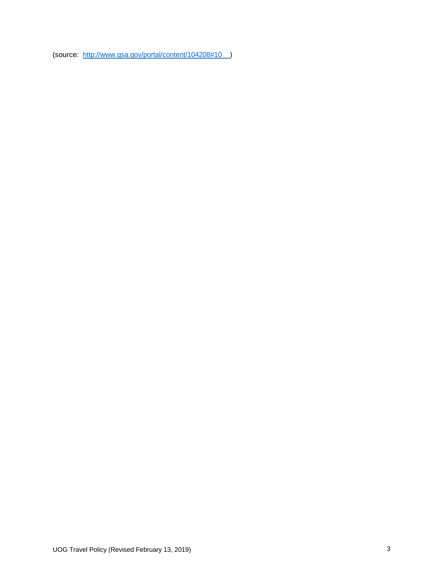(source: [http://www.gsa.gov/portal/content/104208#10 \)](http://www.gsa.gov/portal/content/104208#10)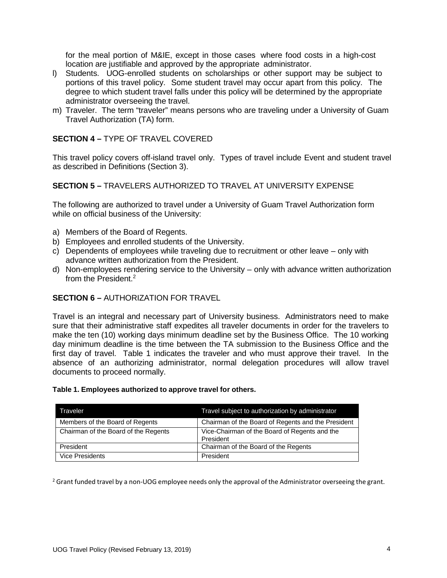for the meal portion of M&IE, except in those cases where food costs in a high-cost location are justifiable and approved by the appropriate administrator.

- l) Students. UOG-enrolled students on scholarships or other support may be subject to portions of this travel policy. Some student travel may occur apart from this policy. The degree to which student travel falls under this policy will be determined by the appropriate administrator overseeing the travel.
- m) Traveler. The term "traveler" means persons who are traveling under a University of Guam Travel Authorization (TA) form.

### **SECTION 4 –** TYPE OF TRAVEL COVERED

This travel policy covers off-island travel only. Types of travel include Event and student travel as described in Definitions (Section 3).

### **SECTION 5 –** TRAVELERS AUTHORIZED TO TRAVEL AT UNIVERSITY EXPENSE

The following are authorized to travel under a University of Guam Travel Authorization form while on official business of the University:

- a) Members of the Board of Regents.
- b) Employees and enrolled students of the University.
- c) Dependents of employees while traveling due to recruitment or other leave only with advance written authorization from the President.
- d) Non-employees rendering service to the University only with advance written authorization from the President.<sup>2</sup>

#### **SECTION 6 –** AUTHORIZATION FOR TRAVEL

Travel is an integral and necessary part of University business. Administrators need to make sure that their administrative staff expedites all traveler documents in order for the travelers to make the ten (10) working days minimum deadline set by the Business Office. The 10 working day minimum deadline is the time between the TA submission to the Business Office and the first day of travel. Table 1 indicates the traveler and who must approve their travel. In the absence of an authorizing administrator, normal delegation procedures will allow travel documents to proceed normally.

#### **Table 1. Employees authorized to approve travel for others.**

| Traveler                             | Travel subject to authorization by administrator           |
|--------------------------------------|------------------------------------------------------------|
| Members of the Board of Regents      | Chairman of the Board of Regents and the President         |
| Chairman of the Board of the Regents | Vice-Chairman of the Board of Regents and the<br>President |
| President                            | Chairman of the Board of the Regents                       |
| <b>Vice Presidents</b>               | President                                                  |

<sup>2</sup> Grant funded travel by a non-UOG employee needs only the approval of the Administrator overseeing the grant.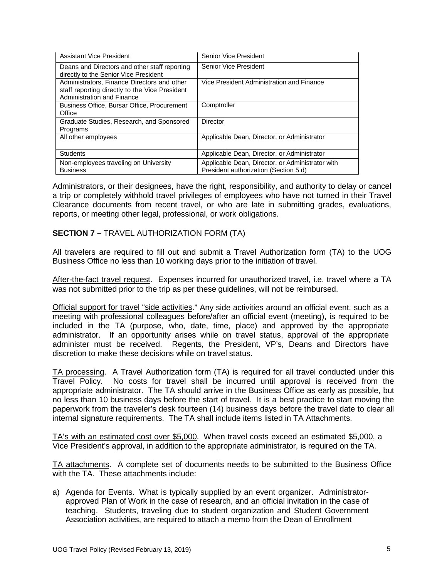| <b>Assistant Vice President</b>                                                                                             | Senior Vice President                                                                     |
|-----------------------------------------------------------------------------------------------------------------------------|-------------------------------------------------------------------------------------------|
| Deans and Directors and other staff reporting<br>directly to the Senior Vice President                                      | Senior Vice President                                                                     |
| Administrators, Finance Directors and other<br>staff reporting directly to the Vice President<br>Administration and Finance | Vice President Administration and Finance                                                 |
| <b>Business Office, Bursar Office, Procurement</b><br>Office                                                                | Comptroller                                                                               |
| Graduate Studies, Research, and Sponsored<br>Programs                                                                       | Director                                                                                  |
| All other employees                                                                                                         | Applicable Dean, Director, or Administrator                                               |
| <b>Students</b>                                                                                                             | Applicable Dean, Director, or Administrator                                               |
| Non-employees traveling on University<br><b>Business</b>                                                                    | Applicable Dean, Director, or Administrator with<br>President authorization (Section 5 d) |

Administrators, or their designees, have the right, responsibility, and authority to delay or cancel a trip or completely withhold travel privileges of employees who have not turned in their Travel Clearance documents from recent travel, or who are late in submitting grades, evaluations, reports, or meeting other legal, professional, or work obligations.

### **SECTION 7 –** TRAVEL AUTHORIZATION FORM (TA)

All travelers are required to fill out and submit a Travel Authorization form (TA) to the UOG Business Office no less than 10 working days prior to the initiation of travel.

After-the-fact travel request. Expenses incurred for unauthorized travel, i.e. travel where a TA was not submitted prior to the trip as per these guidelines, will not be reimbursed.

Official support for travel "side activities." Any side activities around an official event, such as a meeting with professional colleagues before/after an official event (meeting), is required to be included in the TA (purpose, who, date, time, place) and approved by the appropriate administrator. If an opportunity arises while on travel status, approval of the appropriate administer must be received. Regents, the President, VP's, Deans and Directors have discretion to make these decisions while on travel status.

TA processing. A Travel Authorization form (TA) is required for all travel conducted under this Travel Policy. No costs for travel shall be incurred until approval is received from the appropriate administrator. The TA should arrive in the Business Office as early as possible, but no less than 10 business days before the start of travel. It is a best practice to start moving the paperwork from the traveler's desk fourteen (14) business days before the travel date to clear all internal signature requirements. The TA shall include items listed in TA Attachments.

TA's with an estimated cost over \$5,000. When travel costs exceed an estimated \$5,000, a Vice President's approval, in addition to the appropriate administrator, is required on the TA.

TA attachments. A complete set of documents needs to be submitted to the Business Office with the TA. These attachments include:

a) Agenda for Events. What is typically supplied by an event organizer. Administratorapproved Plan of Work in the case of research, and an official invitation in the case of teaching. Students, traveling due to student organization and Student Government Association activities, are required to attach a memo from the Dean of Enrollment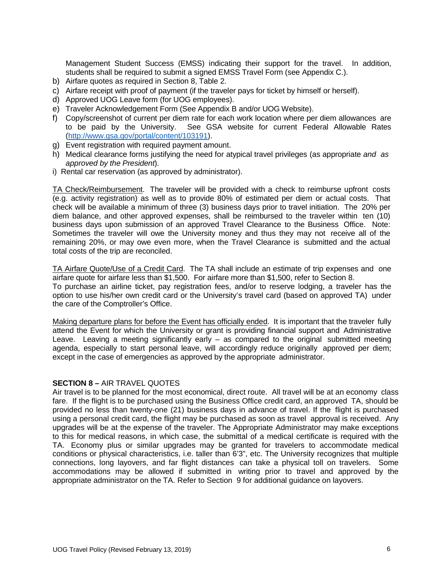Management Student Success (EMSS) indicating their support for the travel. In addition, students shall be required to submit a signed EMSS Travel Form (see Appendix C.).

- b) Airfare quotes as required in Section 8, Table 2.
- c) Airfare receipt with proof of payment (if the traveler pays for ticket by himself or herself).
- d) Approved UOG Leave form (for UOG employees).
- e) Traveler Acknowledgement Form (See Appendix B and/or UOG Website).
- f) Copy/screenshot of current per diem rate for each work location where per diem allowances are to be paid by the University. See GSA website for current Federal Allowable Rates [\(http://www.gsa.gov/portal/content/103191\)](http://www.gsa.gov/portal/content/103191).
- g) Event registration with required payment amount.
- h) Medical clearance forms justifying the need for atypical travel privileges (as appropriate *and as approved by the President*).
- i) Rental car reservation (as approved by administrator).

TA Check/Reimbursement. The traveler will be provided with a check to reimburse upfront costs (e.g. activity registration) as well as to provide 80% of estimated per diem or actual costs. That check will be available a minimum of three (3) business days prior to travel initiation. The 20% per diem balance, and other approved expenses, shall be reimbursed to the traveler within ten (10) business days upon submission of an approved Travel Clearance to the Business Office. Note: Sometimes the traveler will owe the University money and thus they may not receive all of the remaining 20%, or may owe even more, when the Travel Clearance is submitted and the actual total costs of the trip are reconciled.

TA Airfare Quote/Use of a Credit Card. The TA shall include an estimate of trip expenses and one airfare quote for airfare less than \$1,500. For airfare more than \$1,500, refer to Section 8. To purchase an airline ticket, pay registration fees, and/or to reserve lodging, a traveler has the option to use his/her own credit card or the University's travel card (based on approved TA) under the care of the Comptroller's Office.

Making departure plans for before the Event has officially ended. It is important that the traveler fully attend the Event for which the University or grant is providing financial support and Administrative Leave. Leaving a meeting significantly early – as compared to the original submitted meeting agenda, especially to start personal leave, will accordingly reduce originally approved per diem; except in the case of emergencies as approved by the appropriate administrator.

#### **SECTION 8 –** AIR TRAVEL QUOTES

Air travel is to be planned for the most economical, direct route. All travel will be at an economy class fare. If the flight is to be purchased using the Business Office credit card, an approved TA, should be provided no less than twenty-one (21) business days in advance of travel. If the flight is purchased using a personal credit card, the flight may be purchased as soon as travel approval is received. Any upgrades will be at the expense of the traveler. The Appropriate Administrator may make exceptions to this for medical reasons, in which case, the submittal of a medical certificate is required with the TA. Economy plus or similar upgrades may be granted for travelers to accommodate medical conditions or physical characteristics, i.e. taller than 6'3", etc. The University recognizes that multiple connections, long layovers, and far flight distances can take a physical toll on travelers. Some accommodations may be allowed if submitted in writing prior to travel and approved by the appropriate administrator on the TA. Refer to Section 9 for additional guidance on layovers.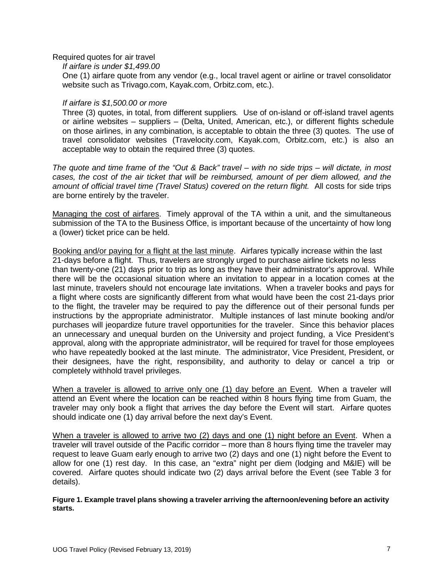Required quotes for air travel

*If airfare is under \$1,499.00*

One (1) airfare quote from any vendor (e.g., local travel agent or airline or travel consolidator website such as Trivago.com, Kayak.com, Orbitz.com, etc.).

### *If airfare is \$1,500.00 or more*

Three (3) quotes, in total, from different suppliers*.* Use of on-island or off-island travel agents or airline websites – suppliers – (Delta, United, American, etc.), or different flights schedule on those airlines, in any combination, is acceptable to obtain the three (3) quotes. The use of travel consolidator websites (Travelocity.com, Kayak.com, Orbitz.com, etc.) is also an acceptable way to obtain the required three (3) quotes.

*The quote and time frame of the "Out & Back" travel – with no side trips – will dictate, in most cases, the cost of the air ticket that will be reimbursed, amount of per diem allowed, and the amount of official travel time (Travel Status) covered on the return flight.* All costs for side trips are borne entirely by the traveler.

Managing the cost of airfares. Timely approval of the TA within a unit, and the simultaneous submission of the TA to the Business Office, is important because of the uncertainty of how long a (lower) ticket price can be held.

Booking and/or paying for a flight at the last minute. Airfares typically increase within the last 21-days before a flight. Thus, travelers are strongly urged to purchase airline tickets no less than twenty-one (21) days prior to trip as long as they have their administrator's approval. While there will be the occasional situation where an invitation to appear in a location comes at the last minute, travelers should not encourage late invitations. When a traveler books and pays for a flight where costs are significantly different from what would have been the cost 21-days prior to the flight, the traveler may be required to pay the difference out of their personal funds per instructions by the appropriate administrator. Multiple instances of last minute booking and/or purchases will jeopardize future travel opportunities for the traveler. Since this behavior places an unnecessary and unequal burden on the University and project funding, a Vice President's approval, along with the appropriate administrator, will be required for travel for those employees who have repeatedly booked at the last minute. The administrator, Vice President, President, or their designees, have the right, responsibility, and authority to delay or cancel a trip or completely withhold travel privileges.

When a traveler is allowed to arrive only one (1) day before an Event. When a traveler will attend an Event where the location can be reached within 8 hours flying time from Guam, the traveler may only book a flight that arrives the day before the Event will start. Airfare quotes should indicate one (1) day arrival before the next day's Event.

When a traveler is allowed to arrive two (2) days and one (1) night before an Event. When a traveler will travel outside of the Pacific corridor – more than 8 hours flying time the traveler may request to leave Guam early enough to arrive two (2) days and one (1) night before the Event to allow for one (1) rest day. In this case, an "extra" night per diem (lodging and M&IE) will be covered. Airfare quotes should indicate two (2) days arrival before the Event (see Table 3 for details).

**Figure 1. Example travel plans showing a traveler arriving the afternoon/evening before an activity starts.**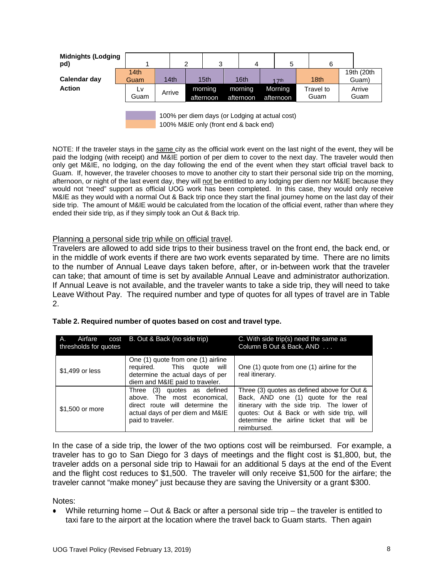| <b>Midnights (Lodging</b><br>pd) |              |        | າ | 3                    | 4                    | 5                    | 6                 |                     |
|----------------------------------|--------------|--------|---|----------------------|----------------------|----------------------|-------------------|---------------------|
| Calendar day                     | 14th<br>Guam | 14th   |   | 15 <sub>th</sub>     | 16th                 | 17th                 | 18 <sub>th</sub>  | 19th (20th<br>Guam) |
| <b>Action</b>                    | LV.<br>Guam  | Arrive |   | morning<br>afternoon | morning<br>afternoon | Morning<br>afternoon | Travel to<br>Guam | Arrive<br>Guam      |
|                                  |              |        |   |                      |                      |                      |                   |                     |

100% per diem days (or Lodging at actual cost) 100% M&IE only (front end & back end)

NOTE: If the traveler stays in the same city as the official work event on the last night of the event, they will be paid the lodging (with receipt) and M&IE portion of per diem to cover to the next day. The traveler would then only get M&IE, no lodging, on the day following the end of the event when they start official travel back to Guam. If, however, the traveler chooses to move to another city to start their personal side trip on the morning, afternoon, or night of the last event day, they will not be entitled to any lodging per diem nor M&IE because they would not "need" support as official UOG work has been completed. In this case, they would only receive M&IE as they would with a normal Out & Back trip once they start the final journey home on the last day of their side trip. The amount of M&IE would be calculated from the location of the official event, rather than where they ended their side trip, as if they simply took an Out & Back trip.

#### Planning a personal side trip while on official travel.

Travelers are allowed to add side trips to their business travel on the front end, the back end, or in the middle of work events if there are two work events separated by time. There are no limits to the number of Annual Leave days taken before, after, or in-between work that the traveler can take; that amount of time is set by available Annual Leave and administrator authorization. If Annual Leave is not available, and the traveler wants to take a side trip, they will need to take Leave Without Pay. The required number and type of quotes for all types of travel are in Table 2.

| Airfare<br>А.<br>thresholds for quotes | cost B. Out & Back (no side trip)                                                                                                                         | C. With side trip(s) need the same as<br>Column B Out & Back, AND                                                                                                                                                                           |  |  |  |
|----------------------------------------|-----------------------------------------------------------------------------------------------------------------------------------------------------------|---------------------------------------------------------------------------------------------------------------------------------------------------------------------------------------------------------------------------------------------|--|--|--|
| \$1,499 or less                        | One (1) quote from one (1) airline<br>required. This quote<br>will<br>determine the actual days of per<br>diem and M&IE paid to traveler.                 | One (1) quote from one (1) airline for the<br>real itinerary.                                                                                                                                                                               |  |  |  |
| \$1,500 or more                        | (3) quotes as defined<br>Three<br>above. The most economical.<br>direct route will determine the<br>actual days of per diem and M&IE<br>paid to traveler. | Three (3) quotes as defined above for Out &<br>Back, AND one (1) quote for the real<br>itinerary with the side trip. The lower of<br>quotes: Out & Back or with side trip, will<br>determine the airline ticket that will be<br>reimbursed. |  |  |  |

In the case of a side trip, the lower of the two options cost will be reimbursed. For example, a traveler has to go to San Diego for 3 days of meetings and the flight cost is \$1,800, but, the traveler adds on a personal side trip to Hawaii for an additional 5 days at the end of the Event and the flight cost reduces to \$1,500. The traveler will only receive \$1,500 for the airfare; the traveler cannot "make money" just because they are saving the University or a grant \$300.

#### Notes:

While returning home  $-$  Out & Back or after a personal side trip  $-$  the traveler is entitled to taxi fare to the airport at the location where the travel back to Guam starts. Then again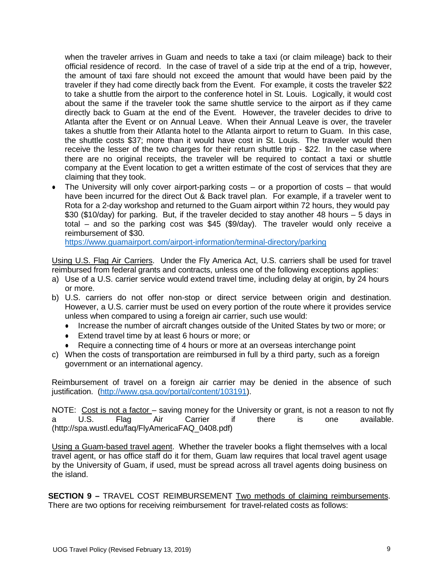when the traveler arrives in Guam and needs to take a taxi (or claim mileage) back to their official residence of record. In the case of travel of a side trip at the end of a trip, however, the amount of taxi fare should not exceed the amount that would have been paid by the traveler if they had come directly back from the Event. For example, it costs the traveler \$22 to take a shuttle from the airport to the conference hotel in St. Louis. Logically, it would cost about the same if the traveler took the same shuttle service to the airport as if they came directly back to Guam at the end of the Event. However, the traveler decides to drive to Atlanta after the Event or on Annual Leave. When their Annual Leave is over, the traveler takes a shuttle from their Atlanta hotel to the Atlanta airport to return to Guam. In this case, the shuttle costs \$37; more than it would have cost in St. Louis. The traveler would then receive the lesser of the two charges for their return shuttle trip - \$22. In the case where there are no original receipts, the traveler will be required to contact a taxi or shuttle company at the Event location to get a written estimate of the cost of services that they are claiming that they took.

• The University will only cover airport-parking costs – or a proportion of costs – that would have been incurred for the direct Out & Back travel plan. For example, if a traveler went to Rota for a 2-day workshop and returned to the Guam airport within 72 hours, they would pay \$30 (\$10/day) for parking. But, if the traveler decided to stay another 48 hours – 5 days in total – and so the parking cost was \$45 (\$9/day). The traveler would only receive a reimbursement of \$30.

<https://www.guamairport.com/airport-information/terminal-directory/parking>

Using U.S. Flag Air Carriers. Under the Fly America Act, U.S. carriers shall be used for travel reimbursed from federal grants and contracts, unless one of the following exceptions applies:

- a) Use of a U.S. carrier service would extend travel time, including delay at origin, by 24 hours or more.
- b) U.S. carriers do not offer non-stop or direct service between origin and destination. However, a U.S. carrier must be used on every portion of the route where it provides service unless when compared to using a foreign air carrier, such use would:
	- Increase the number of aircraft changes outside of the United States by two or more; or
	- Extend travel time by at least 6 hours or more; or
	- Require a connecting time of 4 hours or more at an overseas interchange point
- c) When the costs of transportation are reimbursed in full by a third party, such as a foreign government or an international agency.

Reimbursement of travel on a foreign air carrier may be denied in the absence of such justification. [\(http://www.gsa.gov/portal/content/103191\)](http://www.gsa.gov/portal/content/103191).

NOTE: Cost is not a factor – saving money for the University or grant, is not a reason to not fly<br>a U.S. Flag Air Carrier if there is one available. a U.S. Flag Air Carrier if there is one available[.](http://spa.wustl.edu/faq/FlyAmericaFAQ_0408.pdf)) [\(http://spa.wustl.edu/faq/FlyAmericaFAQ\\_0408.pdf\)](http://spa.wustl.edu/faq/FlyAmericaFAQ_0408.pdf))

Using a Guam-based travel agent. Whether the traveler books a flight themselves with a local travel agent, or has office staff do it for them, Guam law requires that local travel agent usage by the University of Guam, if used, must be spread across all travel agents doing business on the island.

**SECTION 9 –** TRAVEL COST REIMBURSEMENT Two methods of claiming reimbursements. There are two options for receiving reimbursement for travel-related costs as follows: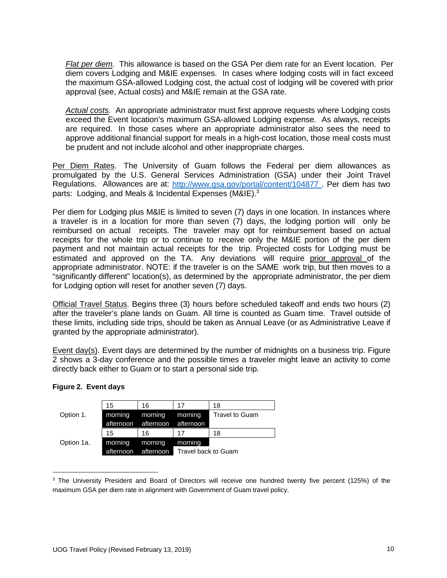*Flat per diem.* This allowance is based on the GSA Per diem rate for an Event location. Per diem covers Lodging and M&IE expenses. In cases where lodging costs will in fact exceed the maximum GSA-allowed Lodging cost, the actual cost of lodging will be covered with prior approval (see, Actual costs) and M&IE remain at the GSA rate.

*Actual costs.* An appropriate administrator must first approve requests where Lodging costs exceed the Event location's maximum GSA-allowed Lodging expense. As always, receipts are required. In those cases where an appropriate administrator also sees the need to approve additional financial support for meals in a high-cost location, those meal costs must be prudent and not include alcohol and other inappropriate charges.

Per Diem Rates. The University of Guam follows the Federal per diem allowances as promulgated by the U.S. General Services Administration (GSA) under their Joint Travel Regulations. Allowances are at: <http://www.gsa.gov/portal/content/104877> . Per diem has two parts: Lodging, and Meals & Incidental Expenses (M&IE).<sup>3</sup>

Per diem for Lodging plus M&IE is limited to seven (7) days in one location. In instances where a traveler is in a location for more than seven (7) days, the lodging portion will only be reimbursed on actual receipts. The traveler may opt for reimbursement based on actual receipts for the whole trip or to continue to receive only the M&IE portion of the per diem payment and not maintain actual receipts for the trip. Projected costs for Lodging must be estimated and approved on the TA. Any deviations will require prior approval of the appropriate administrator. NOTE: if the traveler is on the SAME work trip, but then moves to a "significantly different" location(s), as determined by the appropriate administrator, the per diem for Lodging option will reset for another seven (7) days.

Official Travel Status. Begins three (3) hours before scheduled takeoff and ends two hours (2) after the traveler's plane lands on Guam. All time is counted as Guam time. Travel outside of these limits, including side trips, should be taken as Annual Leave (or as Administrative Leave if granted by the appropriate administrator).

Event day(s). Event days are determined by the number of midnights on a business trip. Figure 2 shows a 3-day conference and the possible times a traveler might leave an activity to come directly back either to Guam or to start a personal side trip.

|            | 15        | 16        | 17                  | 18             |
|------------|-----------|-----------|---------------------|----------------|
| Option 1.  | morning   | morning   | morning             | Travel to Guam |
|            | afternoon |           | afternoon afternoon |                |
|            | 15        | 16        | 17                  | 18             |
| Option 1a. | morning   | morning   | morning             |                |
|            | afternoon | afternoon | Travel back to Guam |                |

#### **Figure 2. Event days**

<sup>&</sup>lt;sup>3</sup> The University President and Board of Directors will receive one hundred twenty five percent (125%) of the maximum GSA per diem rate in alignment with Government of Guam travel policy.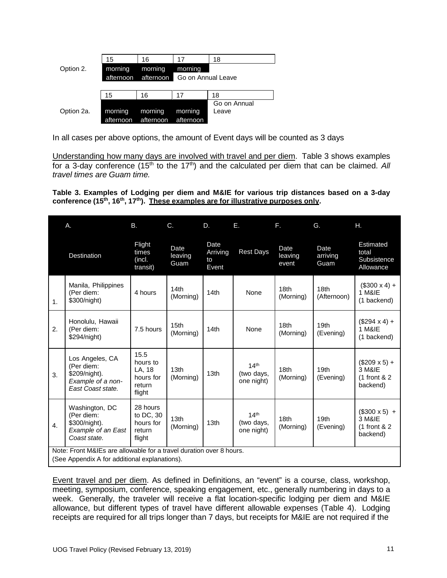|            | 15                  | 16        | 17                 | 18           |
|------------|---------------------|-----------|--------------------|--------------|
| Option 2.  | morning             | morning   | morning            |              |
|            | afternoon afternoon |           | Go on Annual Leave |              |
|            |                     |           |                    |              |
|            | 15                  | 16        | 17                 | 18           |
|            |                     |           |                    | Go on Annual |
| Option 2a. | morning             | morning   | morning            | Leave        |
|            | afternoon           | afternoon | afternoon          |              |

In all cases per above options, the amount of Event days will be counted as 3 days

Understanding how many days are involved with travel and per diem. Table 3 shows examples for a 3-day conference (15<sup>th</sup> to the 17<sup>th</sup>) and the calculated per diem that can be claimed. All *travel times are Guam time.*

**Table 3. Examples of Lodging per diem and M&IE for various trip distances based on a 3-day conference (15th, 16th, 17th). These examples are for illustrative purposes only.**

|                | Α.                                                                                                                   | <b>B.</b>                                                   | $C_{\cdot}$                   | D.                              | Е.                                           | F.                            | G.                            | Η.                                                          |
|----------------|----------------------------------------------------------------------------------------------------------------------|-------------------------------------------------------------|-------------------------------|---------------------------------|----------------------------------------------|-------------------------------|-------------------------------|-------------------------------------------------------------|
|                | Destination                                                                                                          | Flight<br>times<br>(incl.<br>transit)                       | Date<br>leaving<br>Guam       | Date<br>Arriving<br>to<br>Event | <b>Rest Days</b>                             | Date<br>leaving<br>event      | Date<br>arriving<br>Guam      | Estimated<br>total<br>Subsistence<br>Allowance              |
| $\mathbf{1}$ . | Manila, Philippines<br>(Per diem:<br>\$300/night)                                                                    | 4 hours                                                     | 14th<br>(Morning)             | 14th                            | None                                         | 18 <sub>th</sub><br>(Morning) | 18th<br>(Afternoon)           | $($300 \times 4) +$<br>1 M&IE<br>(1 backend)                |
| 2.             | Honolulu, Hawaii<br>(Per diem:<br>\$294/night)                                                                       | 7.5 hours                                                   | 15 <sub>th</sub><br>(Morning) | 14th                            | None                                         | 18 <sub>th</sub><br>(Morning) | 19 <sub>th</sub><br>(Evening) | $($294 \times 4) +$<br>1 M&IE<br>(1 backend)                |
| 3.             | Los Angeles, CA<br>(Per diem:<br>\$209/night).<br>Example of a non-<br>East Coast state.                             | 15.5<br>hours to<br>LA. 18<br>hours for<br>return<br>flight | 13 <sub>th</sub><br>(Morning) | 13 <sub>th</sub>                | 14 <sup>th</sup><br>(two days,<br>one night) | 18 <sub>th</sub><br>(Morning) | 19 <sub>th</sub><br>(Evening) | $($209 \times 5) +$<br>3 M&IE<br>$(1$ front & 2<br>backend) |
| 4.             | Washington, DC<br>(Per diem:<br>\$300/night).<br>Example of an East<br>Coast state.                                  | 28 hours<br>to DC, 30<br>hours for<br>return<br>flight      | 13 <sub>th</sub><br>(Morning) | 13 <sub>th</sub>                | 14 <sup>th</sup><br>(two days,<br>one night) | 18 <sub>th</sub><br>(Morning) | 19 <sub>th</sub><br>(Evening) | $($300 \times 5)$ +<br>3 M&IE<br>$(1$ front & 2<br>backend) |
|                | Note: Front M&IEs are allowable for a travel duration over 8 hours.<br>(See Appendix A for additional explanations). |                                                             |                               |                                 |                                              |                               |                               |                                                             |

Event travel and per diem. As defined in Definitions, an "event" is a course, class, workshop, meeting, symposium, conference, speaking engagement, etc., generally numbering in days to a week. Generally, the traveler will receive a flat location-specific lodging per diem and M&IE allowance, but different types of travel have different allowable expenses (Table 4). Lodging receipts are required for all trips longer than 7 days, but receipts for M&IE are not required if the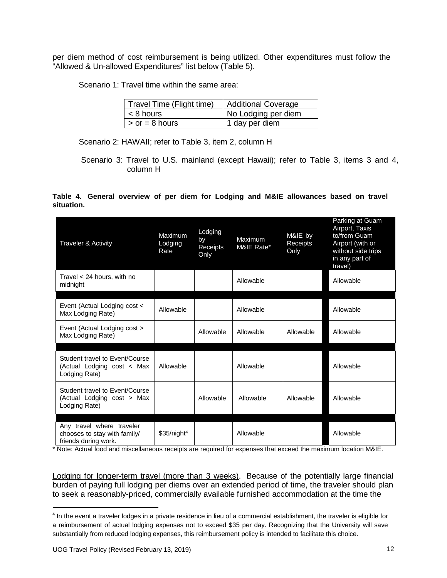per diem method of cost reimbursement is being utilized. Other expenditures must follow the "Allowed & Un-allowed Expenditures" list below (Table 5).

Scenario 1: Travel time within the same area:

| Travel Time (Flight time) | <b>Additional Coverage</b> |
|---------------------------|----------------------------|
| $ $ < 8 hours             | No Lodging per diem        |
| $\vert$ > or = 8 hours    | 1 day per diem             |

Scenario 2: HAWAII; refer to Table 3, item 2, column H

Scenario 3: Travel to U.S. mainland (except Hawaii); refer to Table 3, items 3 and 4, column H

#### **Table 4. General overview of per diem for Lodging and M&IE allowances based on travel situation.**

| <b>Traveler &amp; Activity</b>                                                    | Maximum<br>Lodging<br>Rate | Lodging<br>by<br>Receipts<br>Only | Maximum<br>M&IE Rate* | M&IE by<br>Receipts<br>Only | Parking at Guam<br>Airport, Taxis<br>to/from Guam<br>Airport (with or<br>without side trips<br>in any part of<br>travel) |
|-----------------------------------------------------------------------------------|----------------------------|-----------------------------------|-----------------------|-----------------------------|--------------------------------------------------------------------------------------------------------------------------|
| Travel < 24 hours, with no<br>midnight                                            |                            |                                   | Allowable             |                             | Allowable                                                                                                                |
|                                                                                   |                            |                                   |                       |                             |                                                                                                                          |
| Event (Actual Lodging cost <<br>Max Lodging Rate)                                 | Allowable                  |                                   | Allowable             |                             | Allowable                                                                                                                |
| Event (Actual Lodging cost ><br>Max Lodging Rate)                                 |                            | Allowable                         | Allowable             | Allowable                   | Allowable                                                                                                                |
|                                                                                   |                            |                                   |                       |                             |                                                                                                                          |
| Student travel to Event/Course<br>(Actual Lodging cost < Max<br>Lodging Rate)     | Allowable                  |                                   | Allowable             |                             | Allowable                                                                                                                |
| Student travel to Event/Course<br>(Actual Lodging cost > Max<br>Lodging Rate)     |                            | Allowable                         | Allowable             | Allowable                   | Allowable                                                                                                                |
|                                                                                   |                            |                                   |                       |                             |                                                                                                                          |
| Any travel where traveler<br>chooses to stay with family/<br>friends during work. | \$35/night <sup>4</sup>    |                                   | Allowable             |                             | Allowable                                                                                                                |

\* Note: Actual food and miscellaneous receipts are required for expenses that exceed the maximum location M&IE.

Lodging for longer-term travel (more than 3 weeks). Because of the potentially large financial burden of paying full lodging per diems over an extended period of time, the traveler should plan to seek a reasonably-priced, commercially available furnished accommodation at the time the

<sup>4</sup> In the event a traveler lodges in a private residence in lieu of a commercial establishment, the traveler is eligible for a reimbursement of actual lodging expenses not to exceed \$35 per day. Recognizing that the University will save substantially from reduced lodging expenses, this reimbursement policy is intended to facilitate this choice.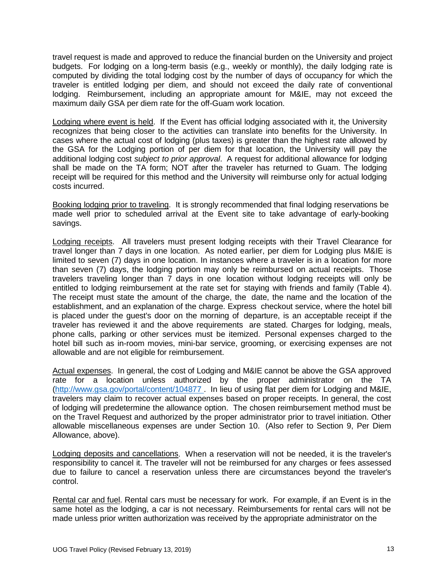travel request is made and approved to reduce the financial burden on the University and project budgets. For lodging on a long-term basis (e.g., weekly or monthly), the daily lodging rate is computed by dividing the total lodging cost by the number of days of occupancy for which the traveler is entitled lodging per diem, and should not exceed the daily rate of conventional lodging. Reimbursement, including an appropriate amount for M&IE, may not exceed the maximum daily GSA per diem rate for the off-Guam work location.

Lodging where event is held. If the Event has official lodging associated with it, the University recognizes that being closer to the activities can translate into benefits for the University. In cases where the actual cost of lodging (plus taxes) is greater than the highest rate allowed by the GSA for the Lodging portion of per diem for that location, the University will pay the additional lodging cost *subject to prior approval*. A request for additional allowance for lodging shall be made on the TA form; NOT after the traveler has returned to Guam. The lodging receipt will be required for this method and the University will reimburse only for actual lodging costs incurred.

Booking lodging prior to traveling. It is strongly recommended that final lodging reservations be made well prior to scheduled arrival at the Event site to take advantage of early-booking savings.

Lodging receipts. All travelers must present lodging receipts with their Travel Clearance for travel longer than 7 days in one location. As noted earlier, per diem for Lodging plus M&IE is limited to seven (7) days in one location. In instances where a traveler is in a location for more than seven (7) days, the lodging portion may only be reimbursed on actual receipts. Those travelers traveling longer than 7 days in one location without lodging receipts will only be entitled to lodging reimbursement at the rate set for staying with friends and family (Table 4). The receipt must state the amount of the charge, the date, the name and the location of the establishment, and an explanation of the charge. Express checkout service, where the hotel bill is placed under the guest's door on the morning of departure, is an acceptable receipt if the traveler has reviewed it and the above requirements are stated. Charges for lodging, meals, phone calls, parking or other services must be itemized. Personal expenses charged to the hotel bill such as in-room movies, mini-bar service, grooming, or exercising expenses are not allowable and are not eligible for reimbursement.

Actual expenses. In general, the cost of Lodging and M&IE cannot be above the GSA approved rate for a location unless authorized by the proper administrator on the TA [\(http://www.gsa.gov/portal/content/104877 .](http://www.gsa.gov/portal/content/104877) In lieu of using flat per diem for Lodging and M&IE, travelers may claim to recover actual expenses based on proper receipts. In general, the cost of lodging will predetermine the allowance option. The chosen reimbursement method must be on the Travel Request and authorized by the proper administrator prior to travel initiation. Other allowable miscellaneous expenses are under Section 10. (Also refer to Section 9, Per Diem Allowance, above).

Lodging deposits and cancellations. When a reservation will not be needed, it is the traveler's responsibility to cancel it. The traveler will not be reimbursed for any charges or fees assessed due to failure to cancel a reservation unless there are circumstances beyond the traveler's control.

Rental car and fuel. Rental cars must be necessary for work. For example, if an Event is in the same hotel as the lodging, a car is not necessary. Reimbursements for rental cars will not be made unless prior written authorization was received by the appropriate administrator on the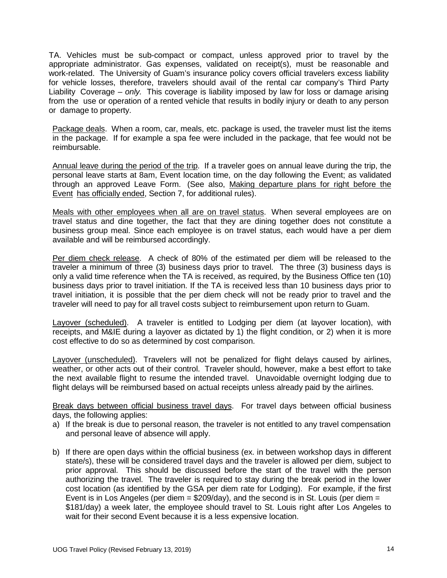TA. Vehicles must be sub-compact or compact, unless approved prior to travel by the appropriate administrator. Gas expenses, validated on receipt(s), must be reasonable and work-related. The University of Guam's insurance policy covers official travelers excess liability for vehicle losses, therefore, travelers should avail of the rental car company's Third Party Liability Coverage – *only.* This coverage is liability imposed by law for loss or damage arising from the use or operation of a rented vehicle that results in bodily injury or death to any person or damage to property.

Package deals. When a room, car, meals, etc. package is used, the traveler must list the items in the package. If for example a spa fee were included in the package, that fee would not be reimbursable.

Annual leave during the period of the trip. If a traveler goes on annual leave during the trip, the personal leave starts at 8am, Event location time, on the day following the Event; as validated through an approved Leave Form. (See also, Making departure plans for right before the Event has officially ended, Section 7, for additional rules).

Meals with other employees when all are on travel status. When several employees are on travel status and dine together, the fact that they are dining together does not constitute a business group meal. Since each employee is on travel status, each would have a per diem available and will be reimbursed accordingly.

Per diem check release. A check of 80% of the estimated per diem will be released to the traveler a minimum of three (3) business days prior to travel. The three (3) business days is only a valid time reference when the TA is received, as required, by the Business Office ten (10) business days prior to travel initiation. If the TA is received less than 10 business days prior to travel initiation, it is possible that the per diem check will not be ready prior to travel and the traveler will need to pay for all travel costs subject to reimbursement upon return to Guam.

Layover (scheduled). A traveler is entitled to Lodging per diem (at layover location), with receipts, and M&IE during a layover as dictated by 1) the flight condition, or 2) when it is more cost effective to do so as determined by cost comparison.

Layover (unscheduled). Travelers will not be penalized for flight delays caused by airlines, weather, or other acts out of their control. Traveler should, however, make a best effort to take the next available flight to resume the intended travel. Unavoidable overnight lodging due to flight delays will be reimbursed based on actual receipts unless already paid by the airlines.

Break days between official business travel days. For travel days between official business days, the following applies:

- a) If the break is due to personal reason, the traveler is not entitled to any travel compensation and personal leave of absence will apply.
- b) If there are open days within the official business (ex. in between workshop days in different state/s), these will be considered travel days and the traveler is allowed per diem, subject to prior approval. This should be discussed before the start of the travel with the person authorizing the travel. The traveler is required to stay during the break period in the lower cost location (as identified by the GSA per diem rate for Lodging). For example, if the first Event is in Los Angeles (per diem  $= $209/day$ ), and the second is in St. Louis (per diem  $=$ \$181/day) a week later, the employee should travel to St. Louis right after Los Angeles to wait for their second Event because it is a less expensive location.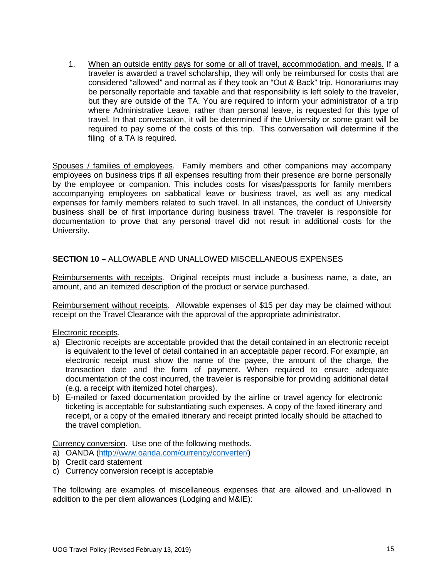1. When an outside entity pays for some or all of travel, accommodation, and meals. If a traveler is awarded a travel scholarship, they will only be reimbursed for costs that are considered "allowed" and normal as if they took an "Out & Back" trip. Honorariums may be personally reportable and taxable and that responsibility is left solely to the traveler, but they are outside of the TA. You are required to inform your administrator of a trip where Administrative Leave, rather than personal leave, is requested for this type of travel. In that conversation, it will be determined if the University or some grant will be required to pay some of the costs of this trip. This conversation will determine if the filing of a TA is required.

Spouses / families of employees. Family members and other companions may accompany employees on business trips if all expenses resulting from their presence are borne personally by the employee or companion. This includes costs for visas/passports for family members accompanying employees on sabbatical leave or business travel, as well as any medical expenses for family members related to such travel. In all instances, the conduct of University business shall be of first importance during business travel. The traveler is responsible for documentation to prove that any personal travel did not result in additional costs for the University.

# **SECTION 10 –** ALLOWABLE AND UNALLOWED MISCELLANEOUS EXPENSES

Reimbursements with receipts. Original receipts must include a business name, a date, an amount, and an itemized description of the product or service purchased.

Reimbursement without receipts. Allowable expenses of \$15 per day may be claimed without receipt on the Travel Clearance with the approval of the appropriate administrator.

#### Electronic receipts.

- a) Electronic receipts are acceptable provided that the detail contained in an electronic receipt is equivalent to the level of detail contained in an acceptable paper record. For example, an electronic receipt must show the name of the payee, the amount of the charge, the transaction date and the form of payment. When required to ensure adequate documentation of the cost incurred, the traveler is responsible for providing additional detail (e.g. a receipt with itemized hotel charges).
- b) E-mailed or faxed documentation provided by the airline or travel agency for electronic ticketing is acceptable for substantiating such expenses. A copy of the faxed itinerary and receipt, or a copy of the emailed itinerary and receipt printed locally should be attached to the travel completion.

Currency conversion. Use one of the following methods.

- a) OANDA [\(http://www.oanda.com/currency/converter/\)](http://www.oanda.com/currency/converter/)
- b) Credit card statement
- c) Currency conversion receipt is acceptable

The following are examples of miscellaneous expenses that are allowed and un-allowed in addition to the per diem allowances (Lodging and M&IE):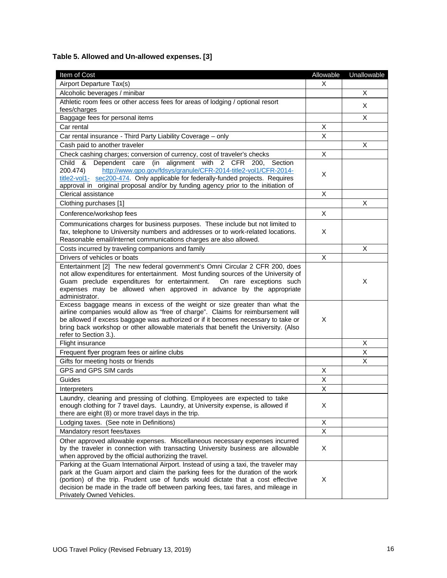# **Table 5. Allowed and Un-allowed expenses. [3]**

| Item of Cost                                                                                                                                                                                                                                                                                                                                                                   | Allowable | Unallowable |
|--------------------------------------------------------------------------------------------------------------------------------------------------------------------------------------------------------------------------------------------------------------------------------------------------------------------------------------------------------------------------------|-----------|-------------|
| Airport Departure Tax(s)                                                                                                                                                                                                                                                                                                                                                       | X.        |             |
| Alcoholic beverages / minibar                                                                                                                                                                                                                                                                                                                                                  |           | X           |
| Athletic room fees or other access fees for areas of lodging / optional resort                                                                                                                                                                                                                                                                                                 |           | X           |
| fees/charges                                                                                                                                                                                                                                                                                                                                                                   |           |             |
| Baggage fees for personal items                                                                                                                                                                                                                                                                                                                                                |           | X           |
| Car rental                                                                                                                                                                                                                                                                                                                                                                     | X         |             |
| Car rental insurance - Third Party Liability Coverage - only                                                                                                                                                                                                                                                                                                                   | X         |             |
| Cash paid to another traveler                                                                                                                                                                                                                                                                                                                                                  |           | X           |
| Check cashing charges; conversion of currency, cost of traveler's checks                                                                                                                                                                                                                                                                                                       | X         |             |
| Dependent care (in alignment with 2 CFR 200, Section<br>Child &<br>http://www.gpo.gov/fdsys/granule/CFR-2014-title2-vol1/CFR-2014-<br>200.474)<br>title2-vol1- sec200-474. Only applicable for federally-funded projects. Requires<br>approval in original proposal and/or by funding agency prior to the initiation of                                                        | X         |             |
| Clerical assistance                                                                                                                                                                                                                                                                                                                                                            | X         |             |
| Clothing purchases [1]                                                                                                                                                                                                                                                                                                                                                         |           | X           |
| Conference/workshop fees                                                                                                                                                                                                                                                                                                                                                       | X         |             |
| Communications charges for business purposes. These include but not limited to<br>fax, telephone to University numbers and addresses or to work-related locations.<br>Reasonable email/internet communications charges are also allowed.                                                                                                                                       | X         |             |
| Costs incurred by traveling companions and family                                                                                                                                                                                                                                                                                                                              |           | X           |
| Drivers of vehicles or boats                                                                                                                                                                                                                                                                                                                                                   | X         |             |
| Entertainment [2] The new federal government's Omni Circular 2 CFR 200, does<br>not allow expenditures for entertainment. Most funding sources of the University of<br>Guam preclude expenditures for entertainment. On rare exceptions such<br>expenses may be allowed when approved in advance by the appropriate<br>administrator.                                          |           | X           |
| Excess baggage means in excess of the weight or size greater than what the<br>airline companies would allow as "free of charge". Claims for reimbursement will<br>be allowed if excess baggage was authorized or if it becomes necessary to take or<br>bring back workshop or other allowable materials that benefit the University. (Also<br>refer to Section 3.).            | X         |             |
| Flight insurance                                                                                                                                                                                                                                                                                                                                                               |           | X           |
| Frequent flyer program fees or airline clubs                                                                                                                                                                                                                                                                                                                                   |           | X           |
| Gifts for meeting hosts or friends                                                                                                                                                                                                                                                                                                                                             |           | X           |
| GPS and GPS SIM cards                                                                                                                                                                                                                                                                                                                                                          | X         |             |
| Guides                                                                                                                                                                                                                                                                                                                                                                         | Χ         |             |
| Interpreters                                                                                                                                                                                                                                                                                                                                                                   | X         |             |
| Laundry, cleaning and pressing of clothing. Employees are expected to take<br>enough clothing for 7 travel days. Laundry, at University expense, is allowed if<br>there are eight (8) or more travel days in the trip.                                                                                                                                                         | X         |             |
| Lodging taxes. (See note in Definitions)                                                                                                                                                                                                                                                                                                                                       | X         |             |
| Mandatory resort fees/taxes                                                                                                                                                                                                                                                                                                                                                    | X         |             |
| Other approved allowable expenses. Miscellaneous necessary expenses incurred<br>by the traveler in connection with transacting University business are allowable<br>when approved by the official authorizing the travel.                                                                                                                                                      | Χ         |             |
| Parking at the Guam International Airport. Instead of using a taxi, the traveler may<br>park at the Guam airport and claim the parking fees for the duration of the work<br>(portion) of the trip. Prudent use of funds would dictate that a cost effective<br>decision be made in the trade off between parking fees, taxi fares, and mileage in<br>Privately Owned Vehicles. | X         |             |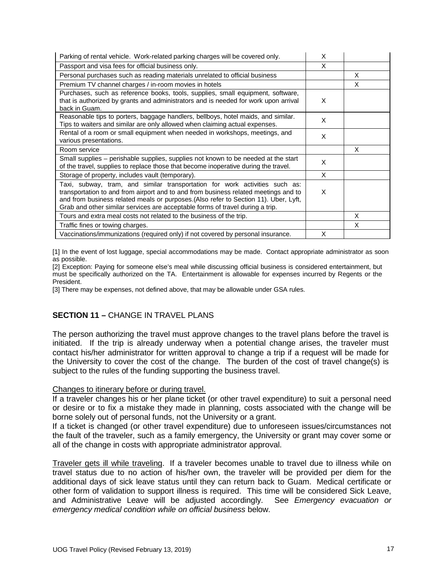| Parking of rental vehicle. Work-related parking charges will be covered only.                                                                                                                                                                                                                                                               | X |   |
|---------------------------------------------------------------------------------------------------------------------------------------------------------------------------------------------------------------------------------------------------------------------------------------------------------------------------------------------|---|---|
| Passport and visa fees for official business only.                                                                                                                                                                                                                                                                                          | X |   |
| Personal purchases such as reading materials unrelated to official business                                                                                                                                                                                                                                                                 |   | X |
| Premium TV channel charges / in-room movies in hotels                                                                                                                                                                                                                                                                                       |   | X |
| Purchases, such as reference books, tools, supplies, small equipment, software,<br>that is authorized by grants and administrators and is needed for work upon arrival<br>back in Guam.                                                                                                                                                     | X |   |
| Reasonable tips to porters, baggage handlers, bellboys, hotel maids, and similar.<br>Tips to waiters and similar are only allowed when claiming actual expenses.                                                                                                                                                                            | X |   |
| Rental of a room or small equipment when needed in workshops, meetings, and<br>various presentations.                                                                                                                                                                                                                                       | X |   |
| Room service                                                                                                                                                                                                                                                                                                                                |   | X |
| Small supplies – perishable supplies, supplies not known to be needed at the start<br>of the travel, supplies to replace those that become inoperative during the travel.                                                                                                                                                                   | X |   |
| Storage of property, includes vault (temporary).                                                                                                                                                                                                                                                                                            | X |   |
| Taxi, subway, tram, and similar transportation for work activities such as:<br>transportation to and from airport and to and from business related meetings and to<br>and from business related meals or purposes. (Also refer to Section 11). Uber, Lyft,<br>Grab and other similar services are acceptable forms of travel during a trip. | X |   |
| Tours and extra meal costs not related to the business of the trip.                                                                                                                                                                                                                                                                         |   | X |
| Traffic fines or towing charges.                                                                                                                                                                                                                                                                                                            |   | X |
| Vaccinations/immunizations (required only) if not covered by personal insurance.                                                                                                                                                                                                                                                            | X |   |

[1] In the event of lost luggage, special accommodations may be made. Contact appropriate administrator as soon as possible.

[2] Exception: Paying for someone else's meal while discussing official business is considered entertainment, but must be specifically authorized on the TA. Entertainment is allowable for expenses incurred by Regents or the President.

[3] There may be expenses, not defined above, that may be allowable under GSA rules.

# **SECTION 11 –** CHANGE IN TRAVEL PLANS

The person authorizing the travel must approve changes to the travel plans before the travel is initiated. If the trip is already underway when a potential change arises, the traveler must contact his/her administrator for written approval to change a trip if a request will be made for the University to cover the cost of the change. The burden of the cost of travel change(s) is subject to the rules of the funding supporting the business travel.

#### Changes to itinerary before or during travel.

If a traveler changes his or her plane ticket (or other travel expenditure) to suit a personal need or desire or to fix a mistake they made in planning, costs associated with the change will be borne solely out of personal funds, not the University or a grant.

If a ticket is changed (or other travel expenditure) due to unforeseen issues/circumstances not the fault of the traveler, such as a family emergency, the University or grant may cover some or all of the change in costs with appropriate administrator approval.

Traveler gets ill while traveling. If a traveler becomes unable to travel due to illness while on travel status due to no action of his/her own, the traveler will be provided per diem for the additional days of sick leave status until they can return back to Guam. Medical certificate or other form of validation to support illness is required. This time will be considered Sick Leave, and Administrative Leave will be adjusted accordingly. See *Emergency evacuation or emergency medical condition while on official business* below.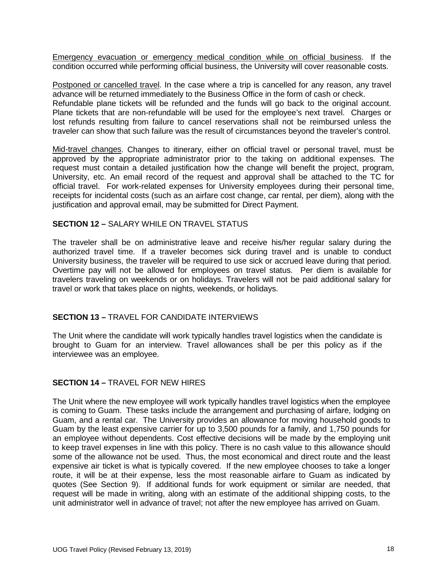Emergency evacuation or emergency medical condition while on official business. If the condition occurred while performing official business, the University will cover reasonable costs.

Postponed or cancelled travel. In the case where a trip is cancelled for any reason, any travel advance will be returned immediately to the Business Office in the form of cash or check. Refundable plane tickets will be refunded and the funds will go back to the original account. Plane tickets that are non-refundable will be used for the employee's next travel. Charges or lost refunds resulting from failure to cancel reservations shall not be reimbursed unless the traveler can show that such failure was the result of circumstances beyond the traveler's control.

Mid-travel changes. Changes to itinerary, either on official travel or personal travel, must be approved by the appropriate administrator prior to the taking on additional expenses. The request must contain a detailed justification how the change will benefit the project, program, University, etc. An email record of the request and approval shall be attached to the TC for official travel. For work-related expenses for University employees during their personal time, receipts for incidental costs (such as an airfare cost change, car rental, per diem), along with the justification and approval email, may be submitted for Direct Payment.

# **SECTION 12 –** SALARY WHILE ON TRAVEL STATUS

The traveler shall be on administrative leave and receive his/her regular salary during the authorized travel time. If a traveler becomes sick during travel and is unable to conduct University business, the traveler will be required to use sick or accrued leave during that period. Overtime pay will not be allowed for employees on travel status. Per diem is available for travelers traveling on weekends or on holidays. Travelers will not be paid additional salary for travel or work that takes place on nights, weekends, or holidays.

# **SECTION 13 –** TRAVEL FOR CANDIDATE INTERVIEWS

The Unit where the candidate will work typically handles travel logistics when the candidate is brought to Guam for an interview. Travel allowances shall be per this policy as if the interviewee was an employee.

# **SECTION 14 –** TRAVEL FOR NEW HIRES

The Unit where the new employee will work typically handles travel logistics when the employee is coming to Guam. These tasks include the arrangement and purchasing of airfare, lodging on Guam, and a rental car. The University provides an allowance for moving household goods to Guam by the least expensive carrier for up to 3,500 pounds for a family, and 1,750 pounds for an employee without dependents. Cost effective decisions will be made by the employing unit to keep travel expenses in line with this policy. There is no cash value to this allowance should some of the allowance not be used. Thus, the most economical and direct route and the least expensive air ticket is what is typically covered. If the new employee chooses to take a longer route, it will be at their expense, less the most reasonable airfare to Guam as indicated by quotes (See Section 9). If additional funds for work equipment or similar are needed, that request will be made in writing, along with an estimate of the additional shipping costs, to the unit administrator well in advance of travel; not after the new employee has arrived on Guam.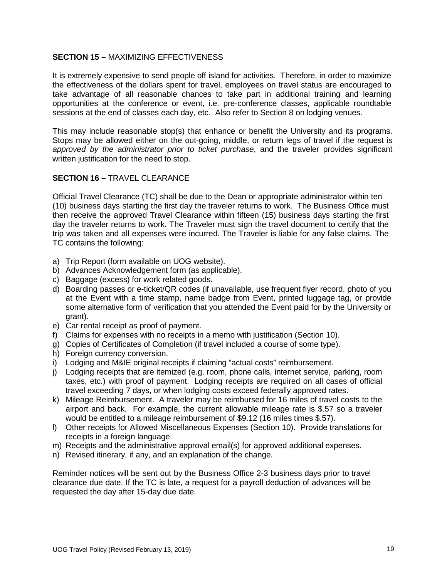# **SECTION 15 –** MAXIMIZING EFFECTIVENESS

It is extremely expensive to send people off island for activities. Therefore, in order to maximize the effectiveness of the dollars spent for travel, employees on travel status are encouraged to take advantage of all reasonable chances to take part in additional training and learning opportunities at the conference or event, i.e. pre-conference classes, applicable roundtable sessions at the end of classes each day, etc. Also refer to Section 8 on lodging venues.

This may include reasonable stop(s) that enhance or benefit the University and its programs. Stops may be allowed either on the out-going, middle, or return legs of travel if the request is *approved by the administrator prior to ticket purchase*, and the traveler provides significant written justification for the need to stop.

# **SECTION 16 –** TRAVEL CLEARANCE

Official Travel Clearance (TC) shall be due to the Dean or appropriate administrator within ten (10) business days starting the first day the traveler returns to work. The Business Office must then receive the approved Travel Clearance within fifteen (15) business days starting the first day the traveler returns to work. The Traveler must sign the travel document to certify that the trip was taken and all expenses were incurred. The Traveler is liable for any false claims. The TC contains the following:

- a) Trip Report (form available on UOG website).
- b) Advances Acknowledgement form (as applicable).
- c) Baggage (excess) for work related goods.
- d) Boarding passes or e-ticket/QR codes (if unavailable, use frequent flyer record, photo of you at the Event with a time stamp, name badge from Event, printed luggage tag, or provide some alternative form of verification that you attended the Event paid for by the University or grant).
- e) Car rental receipt as proof of payment.
- f) Claims for expenses with no receipts in a memo with justification (Section 10).
- g) Copies of Certificates of Completion (if travel included a course of some type).
- h) Foreign currency conversion.
- i) Lodging and M&IE original receipts if claiming "actual costs" reimbursement.
- j) Lodging receipts that are itemized (e.g. room, phone calls, internet service, parking, room taxes, etc.) with proof of payment. Lodging receipts are required on all cases of official travel exceeding 7 days, or when lodging costs exceed federally approved rates.
- k) Mileage Reimbursement. A traveler may be reimbursed for 16 miles of travel costs to the airport and back. For example, the current allowable mileage rate is \$.57 so a traveler would be entitled to a mileage reimbursement of \$9.12 (16 miles times \$.57).
- l) Other receipts for Allowed Miscellaneous Expenses (Section 10). Provide translations for receipts in a foreign language.
- m) Receipts and the administrative approval email(s) for approved additional expenses.
- n) Revised itinerary, if any, and an explanation of the change.

Reminder notices will be sent out by the Business Office 2-3 business days prior to travel clearance due date. If the TC is late, a request for a payroll deduction of advances will be requested the day after 15-day due date.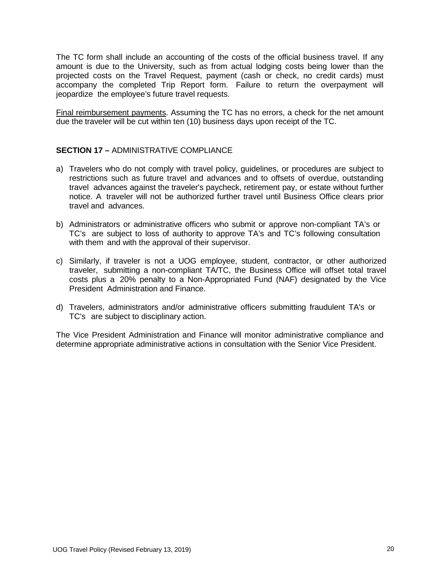The TC form shall include an accounting of the costs of the official business travel. If any amount is due to the University, such as from actual lodging costs being lower than the projected costs on the Travel Request, payment (cash or check, no credit cards) must accompany the completed Trip Report form. Failure to return the overpayment will jeopardize the employee's future travel requests.

Final reimbursement payments. Assuming the TC has no errors, a check for the net amount due the traveler will be cut within ten (10) business days upon receipt of the TC.

# **SECTION 17 –** ADMINISTRATIVE COMPLIANCE

- a) Travelers who do not comply with travel policy, guidelines, or procedures are subject to restrictions such as future travel and advances and to offsets of overdue, outstanding travel advances against the traveler's paycheck, retirement pay, or estate without further notice. A traveler will not be authorized further travel until Business Office clears prior travel and advances.
- b) Administrators or administrative officers who submit or approve non-compliant TA's or TC's are subject to loss of authority to approve TA's and TC's following consultation with them and with the approval of their supervisor.
- c) Similarly, if traveler is not a UOG employee, student, contractor, or other authorized traveler, submitting a non-compliant TA/TC, the Business Office will offset total travel costs plus a 20% penalty to a Non-Appropriated Fund (NAF) designated by the Vice President Administration and Finance.
- d) Travelers, administrators and/or administrative officers submitting fraudulent TA's or TC's are subject to disciplinary action.

The Vice President Administration and Finance will monitor administrative compliance and determine appropriate administrative actions in consultation with the Senior Vice President.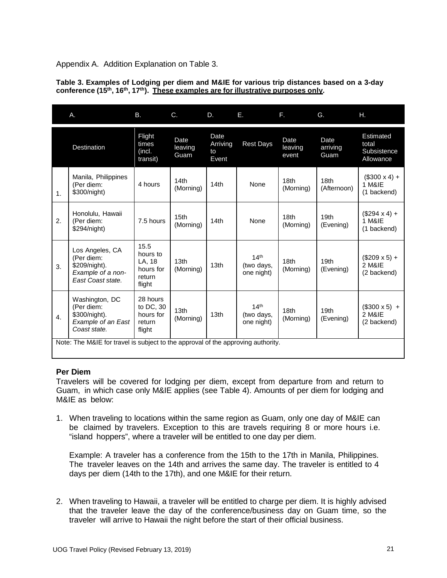Appendix A. Addition Explanation on Table 3.

| Table 3. Examples of Lodging per diem and M&IE for various trip distances based on a 3-day                               |
|--------------------------------------------------------------------------------------------------------------------------|
| conference (15 <sup>th</sup> , 16 <sup>th</sup> , 17 <sup>th</sup> ). These examples are for illustrative purposes only. |

|                                                                                  | Α.                                                                                       | В.                                                          | C.                            | D.                              | Е.                                           | F.                            | G.                              | Η.                                             |
|----------------------------------------------------------------------------------|------------------------------------------------------------------------------------------|-------------------------------------------------------------|-------------------------------|---------------------------------|----------------------------------------------|-------------------------------|---------------------------------|------------------------------------------------|
|                                                                                  | Destination                                                                              | Flight<br>times<br>(incl.<br>transit)                       | Date<br>leaving<br>Guam       | Date<br>Arriving<br>to<br>Event | <b>Rest Days</b>                             | Date<br>leaving<br>event      | Date<br>arriving<br>Guam        | Estimated<br>total<br>Subsistence<br>Allowance |
| 1.                                                                               | Manila, Philippines<br>(Per diem:<br>\$300/night)                                        | 4 hours                                                     | 14th<br>(Morning)             | 14th                            | None                                         | 18th<br>(Morning)             | 18 <sub>th</sub><br>(Afternoon) | $($300 \times 4) +$<br>1 M&IE<br>(1 backend)   |
| 2.                                                                               | Honolulu, Hawaii<br>(Per diem:<br>\$294/night)                                           | 7.5 hours                                                   | 15 <sub>th</sub><br>(Morning) | 14th                            | None                                         | 18 <sub>th</sub><br>(Morning) | 19 <sub>th</sub><br>(Evening)   | $($294 \times 4) +$<br>1 M&IE<br>(1 backend)   |
| 3.                                                                               | Los Angeles, CA<br>(Per diem:<br>\$209/night).<br>Example of a non-<br>East Coast state. | 15.5<br>hours to<br>LA, 18<br>hours for<br>return<br>flight | 13 <sub>th</sub><br>(Morning) | 13 <sub>th</sub>                | 14 <sup>th</sup><br>(two days,<br>one night) | 18th<br>(Morning)             | 19 <sub>th</sub><br>(Evening)   | $($209 \times 5) +$<br>2 M&IE<br>(2 backend)   |
| $\overline{4}$ .                                                                 | Washington, DC<br>(Per diem:<br>\$300/night).<br>Example of an East<br>Coast state.      | 28 hours<br>to DC, 30<br>hours for<br>return<br>flight      | 13 <sub>th</sub><br>(Morning) | 13 <sub>th</sub>                | 14 <sup>th</sup><br>(two days,<br>one night) | 18 <sub>th</sub><br>(Morning) | 19 <sub>th</sub><br>(Evening)   | $($300 \times 5)$ +<br>2 M&IE<br>(2 backend)   |
| Note: The M&IE for travel is subject to the approval of the approving authority. |                                                                                          |                                                             |                               |                                 |                                              |                               |                                 |                                                |

#### **Per Diem**

Travelers will be covered for lodging per diem, except from departure from and return to Guam, in which case only M&IE applies (see Table 4). Amounts of per diem for lodging and M&IE as below:

1. When traveling to locations within the same region as Guam, only one day of M&IE can be claimed by travelers. Exception to this are travels requiring 8 or more hours i.e. "island hoppers", where a traveler will be entitled to one day per diem.

Example: A traveler has a conference from the 15th to the 17th in Manila, Philippines. The traveler leaves on the 14th and arrives the same day. The traveler is entitled to 4 days per diem (14th to the 17th), and one M&IE for their return.

2. When traveling to Hawaii, a traveler will be entitled to charge per diem. It is highly advised that the traveler leave the day of the conference/business day on Guam time, so the traveler will arrive to Hawaii the night before the start of their official business.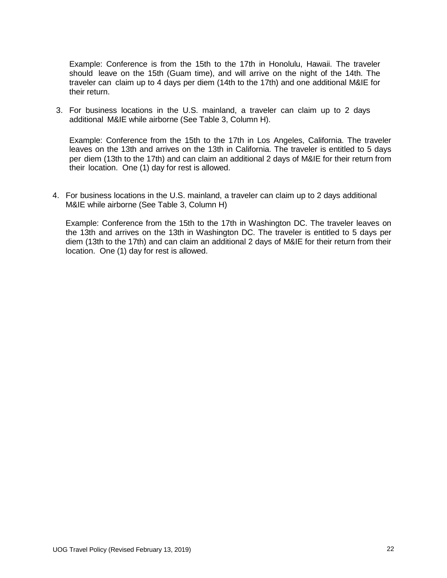Example: Conference is from the 15th to the 17th in Honolulu, Hawaii. The traveler should leave on the 15th (Guam time), and will arrive on the night of the 14th. The traveler can claim up to 4 days per diem (14th to the 17th) and one additional M&IE for their return.

3. For business locations in the U.S. mainland, a traveler can claim up to 2 days additional M&IE while airborne (See Table 3, Column H).

Example: Conference from the 15th to the 17th in Los Angeles, California. The traveler leaves on the 13th and arrives on the 13th in California. The traveler is entitled to 5 days per diem (13th to the 17th) and can claim an additional 2 days of M&IE for their return from their location. One (1) day for rest is allowed.

4. For business locations in the U.S. mainland, a traveler can claim up to 2 days additional M&IE while airborne (See Table 3, Column H)

Example: Conference from the 15th to the 17th in Washington DC. The traveler leaves on the 13th and arrives on the 13th in Washington DC. The traveler is entitled to 5 days per diem (13th to the 17th) and can claim an additional 2 days of M&IE for their return from their location. One (1) day for rest is allowed.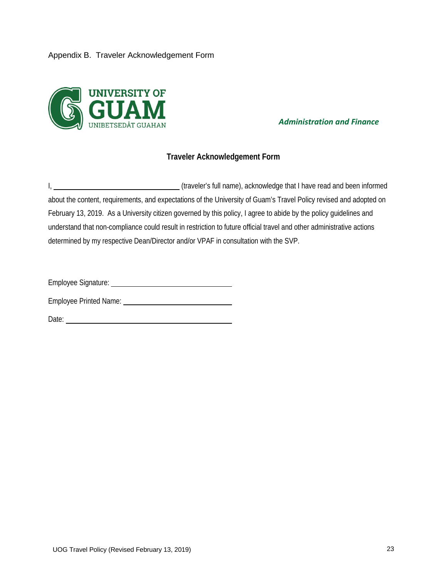## Appendix B. Traveler Acknowledgement Form



*Administration and Finance*

# **Traveler Acknowledgement Form**

I, (traveler's full name), acknowledge that I have read and been informed about the content, requirements, and expectations of the University of Guam's Travel Policy revised and adopted on February 13, 2019. As a University citizen governed by this policy, I agree to abide by the policy guidelines and understand that non-compliance could result in restriction to future official travel and other administrative actions determined by my respective Dean/Director and/or VPAF in consultation with the SVP.

Employee Signature: Note and the state of the state of the state of the state of the state of the state of the state of the state of the state of the state of the state of the state of the state of the state of the state o

Employee Printed Name:

Date: **Date: Date: Date: Date: Date: Date: Date: Date: Date: Date: Date: Date: Date: Date: Date: Date: Date: Date: Date: Date: Date: Date: Date: Date: Date: Date: Date:**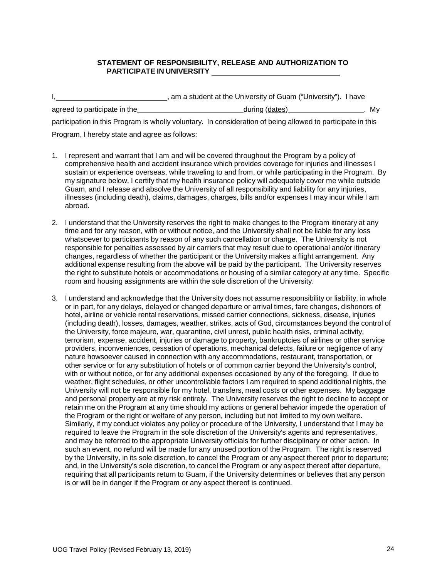#### **STATEMENT OF RESPONSIBILITY, RELEASE AND AUTHORIZATION TO PARTICIPATE IN UNIVERSITY**

|                                               | am a student at the University of Guam ("University"). I have                                               |      |
|-----------------------------------------------|-------------------------------------------------------------------------------------------------------------|------|
| agreed to participate in the                  | during (dates)                                                                                              | . My |
|                                               | participation in this Program is wholly voluntary. In consideration of being allowed to participate in this |      |
| Program, I hereby state and agree as follows: |                                                                                                             |      |

- 1. I represent and warrant that I am and will be covered throughout the Program by a policy of comprehensive health and accident insurance which provides coverage for injuries and illnesses I sustain or experience overseas, while traveling to and from, or while participating in the Program. By my signature below, I certify that my health insurance policy will adequately cover me while outside Guam, and I release and absolve the University of all responsibility and liability for any injuries, illnesses (including death), claims, damages, charges, bills and/or expenses I may incur while I am abroad.
- 2. I understand that the University reserves the right to make changes to the Program itinerary at any time and for any reason, with or without notice, and the University shall not be liable for any loss whatsoever to participants by reason of any such cancellation or change. The University is not responsible for penalties assessed by air carriers that may result due to operational and/or itinerary changes, regardless of whether the participant or the University makes a flight arrangement. Any additional expense resulting from the above will be paid by the participant. The University reserves the right to substitute hotels or accommodations or housing of a similar category at any time. Specific room and housing assignments are within the sole discretion of the University.
- 3. I understand and acknowledge that the University does not assume responsibility or liability, in whole or in part, for any delays, delayed or changed departure or arrival times, fare changes, dishonors of hotel, airline or vehicle rental reservations, missed carrier connections, sickness, disease, injuries (including death), losses, damages, weather, strikes, acts of God, circumstances beyond the control of the University, force majeure, war, quarantine, civil unrest, public health risks, criminal activity, terrorism, expense, accident, injuries or damage to property, bankruptcies of airlines or other service providers, inconveniences, cessation of operations, mechanical defects, failure or negligence of any nature howsoever caused in connection with any accommodations, restaurant, transportation, or other service or for any substitution of hotels or of common carrier beyond the University's control, with or without notice, or for any additional expenses occasioned by any of the foregoing. If due to weather, flight schedules, or other uncontrollable factors I am required to spend additional nights, the University will not be responsible for my hotel, transfers, meal costs or other expenses. My baggage and personal property are at my risk entirely. The University reserves the right to decline to accept or retain me on the Program at any time should my actions or general behavior impede the operation of the Program or the right or welfare of any person, including but not limited to my own welfare. Similarly, if my conduct violates any policy or procedure of the University, I understand that I may be required to leave the Program in the sole discretion of the University's agents and representatives, and may be referred to the appropriate University officials for further disciplinary or other action. In such an event, no refund will be made for any unused portion of the Program. The right is reserved by the University, in its sole discretion, to cancel the Program or any aspect thereof prior to departure; and, in the University's sole discretion, to cancel the Program or any aspect thereof after departure, requiring that all participants return to Guam, if the University determines or believes that any person is or will be in danger if the Program or any aspect thereof is continued.